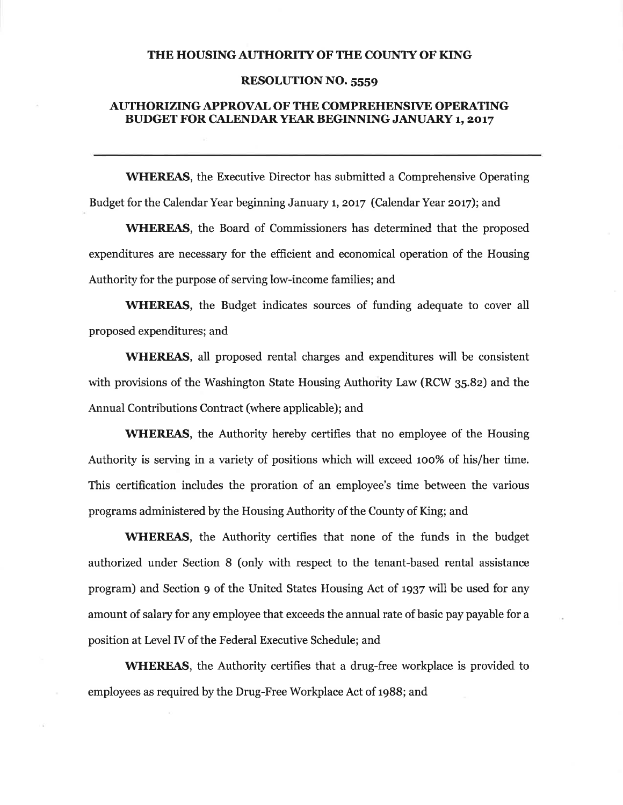### THE HOUSING AUTHORITY OF THE COUNTY OF KING

## **RESOLUTION NO. 5559**

## **AUTHORIZING APPROVAL OF THE COMPREHENSIVE OPERATING BUDGET FOR CALENDAR YEAR BEGINNING JANUARY 1, 2017**

**WHEREAS**, the Executive Director has submitted a Comprehensive Operating Budget for the Calendar Year beginning January 1, 2017 (Calendar Year 2017); and

**WHEREAS**, the Board of Commissioners has determined that the proposed expenditures are necessary for the efficient and economical operation of the Housing Authority for the purpose of serving low-income families; and

**WHEREAS**, the Budget indicates sources of funding adequate to cover all proposed expenditures; and

**WHEREAS**, all proposed rental charges and expenditures will be consistent with provisions of the Washington State Housing Authority Law (RCW 35.82) and the Annual Contributions Contract (where applicable); and

**WHEREAS**, the Authority hereby certifies that no employee of the Housing Authority is serving in a variety of positions which will exceed 100% of his/her time. This certification includes the proration of an employee's time between the various programs administered by the Housing Authority of the County of King; and

**WHEREAS**, the Authority certifies that none of the funds in the budget authorized under Section 8 (only with respect to the tenant-based rental assistance program) and Section 9 of the United States Housing Act of 1937 will be used for any amount of salary for any employee that exceeds the annual rate of basic pay payable for a position at Level IV of the Federal Executive Schedule; and

**WHEREAS**, the Authority certifies that a drug-free workplace is provided to employees as required by the Drug-Free Workplace Act of 1988; and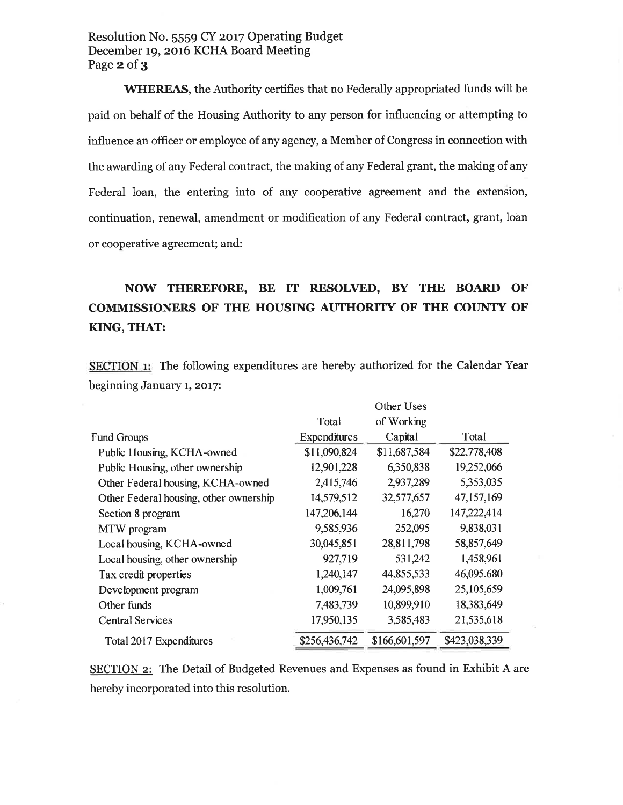# Resolution No. 5559 CY 2017 Operating Budget December 19, 2016 KCHA Board Meeting Page 2 of 3

**WHEREAS**, the Authority certifies that no Federally appropriated funds will be paid on behalf of the Housing Authority to any person for influencing or attempting to influence an officer or employee of any agency, a Member of Congress in connection with the awarding of any Federal contract, the making of any Federal grant, the making of any Federal loan, the entering into of any cooperative agreement and the extension, continuation, renewal, amendment or modification of any Federal contract, grant, loan or cooperative agreement; and:

# NOW THEREFORE, BE IT RESOLVED, BY THE BOARD OF COMMISSIONERS OF THE HOUSING AUTHORITY OF THE COUNTY OF KING, THAT:

SECTION 1: The following expenditures are hereby authorized for the Calendar Year beginning January 1, 2017:

 $\sim$   $\sim$ 

 $\sim$   $\sim$ 

|                                        | Other Uses    |               |               |  |  |  |  |
|----------------------------------------|---------------|---------------|---------------|--|--|--|--|
|                                        | Total         | of Working    |               |  |  |  |  |
| <b>Fund Groups</b>                     | Expenditures  | Capital       | Total         |  |  |  |  |
| Public Housing, KCHA-owned             | \$11,090,824  | \$11,687,584  | \$22,778,408  |  |  |  |  |
| Public Housing, other ownership        | 12,901,228    | 6,350,838     | 19,252,066    |  |  |  |  |
| Other Federal housing, KCHA-owned      | 2,415,746     | 2,937,289     | 5,353,035     |  |  |  |  |
| Other Federal housing, other ownership | 14,579,512    | 32,577,657    | 47,157,169    |  |  |  |  |
| Section 8 program                      | 147,206,144   | 16,270        | 147,222,414   |  |  |  |  |
| MTW program                            | 9,585,936     | 252,095       | 9,838,031     |  |  |  |  |
| Local housing, KCHA-owned              | 30,045,851    | 28,811,798    | 58,857,649    |  |  |  |  |
| Local housing, other ownership         | 927,719       | 531,242       | 1,458,961     |  |  |  |  |
| Tax credit properties                  | 1,240,147     | 44,855,533    | 46,095,680    |  |  |  |  |
| Development program                    | 1,009,761     | 24,095,898    | 25,105,659    |  |  |  |  |
| Other funds                            | 7,483,739     | 10,899,910    | 18,383,649    |  |  |  |  |
| <b>Central Services</b>                | 17,950,135    | 3,585,483     | 21,535,618    |  |  |  |  |
| Total 2017 Expenditures                | \$256,436,742 | \$166,601,597 | \$423,038,339 |  |  |  |  |

**SECTION 2:** The Detail of Budgeted Revenues and Expenses as found in Exhibit A are hereby incorporated into this resolution.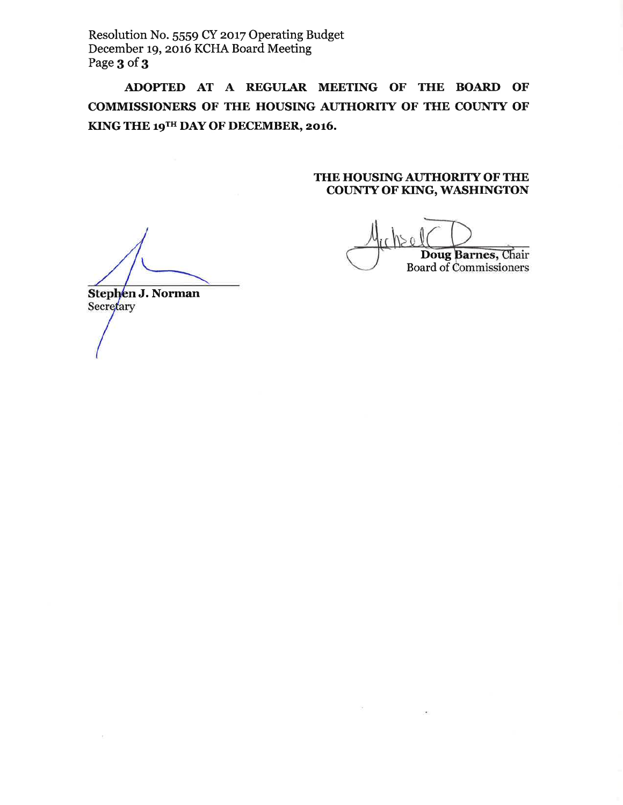Resolution No. 5559 CY 2017 Operating Budget December 19, 2016 KCHA Board Meeting Page 3 of 3

ADOPTED AT A REGULAR MEETING OF THE BOARD OF COMMISSIONERS OF THE HOUSING AUTHORITY OF THE COUNTY OF KING THE 19TH DAY OF DECEMBER, 2016.

## THE HOUSING AUTHORITY OF THE **COUNTY OF KING, WASHINGTON**

Doug Barnes, Chair Board of Commissioners

Stephen J. Norman Secretary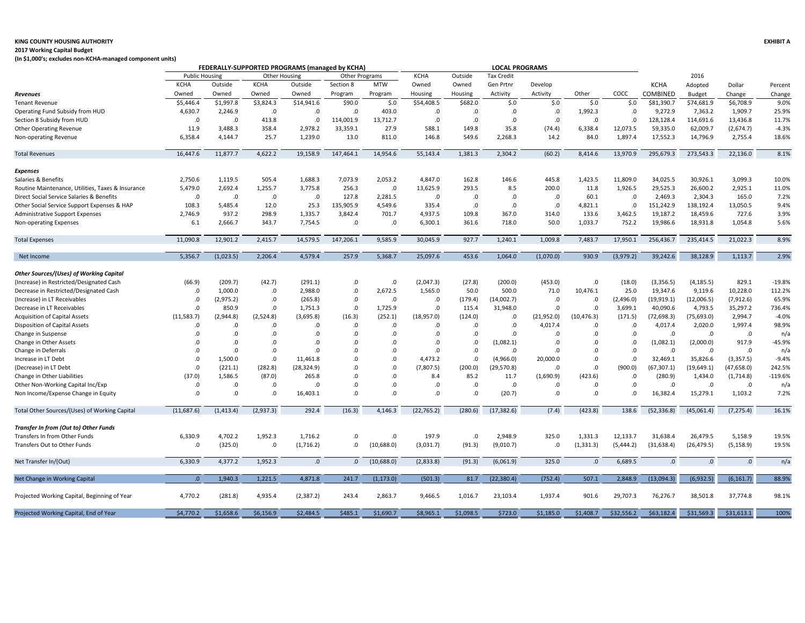### **KING COUNTY HOUSING AUTHORITY EXHIBIT A**

#### **2017 Working Capital Budget**

**(In \$1,000's; excludes non-KCHA-managed component units)**

|                                                   |                       |            | FEDERALLY-SUPPORTED PROGRAMS (managed by KCHA)<br><b>LOCAL PROGRAMS</b> |             |                |            |             |           |                   |            |             |            |                 |             |             |           |
|---------------------------------------------------|-----------------------|------------|-------------------------------------------------------------------------|-------------|----------------|------------|-------------|-----------|-------------------|------------|-------------|------------|-----------------|-------------|-------------|-----------|
|                                                   | <b>Public Housing</b> |            | <b>Other Housing</b>                                                    |             | Other Programs |            | <b>KCHA</b> | Outside   | <b>Tax Credit</b> |            |             |            |                 | 2016        |             |           |
|                                                   | <b>KCHA</b>           | Outside    | <b>KCHA</b>                                                             | Outside     | Section 8      | <b>MTW</b> | Owned       | Owned     | Gen Prtnr         | Develop    |             |            | <b>KCHA</b>     | Adopted     | Dollar      | Percent   |
| Revenues                                          | Owned                 | Owned      | Owned                                                                   | Owned       | Program        | Program    | Housing     | Housing   | Activity          | Activity   | Other       | COCC       | <b>COMBINED</b> | Budget      | Change      | Change    |
| <b>Tenant Revenue</b>                             | \$5,446.4             | \$1,997.8  | \$3,824.3                                                               | \$14,941.6  | \$90.0         | \$.0       | \$54,408.5  | \$682.0   | \$.0              | \$.0       | \$.0        | \$.0       | \$81,390.7      | \$74,681.9  | \$6,708.9   | 9.0%      |
| Operating Fund Subsidy from HUD                   | 4,630.7               | 2,246.9    | .0                                                                      | .0          | .0             | 403.0      | .0          | .0        | .0                | .0         | 1,992.3     | .0         | 9,272.9         | 7,363.2     | 1,909.7     | 25.9%     |
| Section 8 Subsidy from HUD                        | .0                    | .0         | 413.8                                                                   | .0          | 114,001.9      | 13,712.7   | .0          | .0        | .0                | .0         | .0          | .0         | 128,128.4       | 114,691.6   | 13,436.8    | 11.7%     |
| <b>Other Operating Revenue</b>                    | 11.9                  | 3,488.3    | 358.4                                                                   | 2,978.2     | 33,359.1       | 27.9       | 588.1       | 149.8     | 35.8              | (74.4)     | 6,338.4     | 12,073.5   | 59,335.0        | 62,009.7    | (2,674.7)   | $-4.3%$   |
| Non-operating Revenue                             | 6,358.4               | 4,144.7    | 25.7                                                                    | 1,239.0     | 13.0           | 811.0      | 146.8       | 549.6     | 2,268.3           | 14.2       | 84.0        | 1,897.4    | 17,552.3        | 14,796.9    | 2,755.4     | 18.6%     |
| <b>Total Revenues</b>                             | 16,447.6              | 11,877.7   | 4,622.2                                                                 | 19,158.9    | 147,464.1      | 14,954.6   | 55,143.4    | 1,381.3   | 2,304.2           | (60.2)     | 8,414.6     | 13,970.9   | 295,679.3       | 273,543.3   | 22,136.0    | 8.1%      |
| Expenses                                          |                       |            |                                                                         |             |                |            |             |           |                   |            |             |            |                 |             |             |           |
| Salaries & Benefits                               | 2,750.6               | 1,119.5    | 505.4                                                                   | 1,688.3     | 7,073.9        | 2,053.2    | 4,847.0     | 162.8     | 146.6             | 445.8      | 1,423.5     | 11,809.0   | 34,025.5        | 30,926.1    | 3,099.3     | 10.0%     |
| Routine Maintenance, Utilities, Taxes & Insurance | 5,479.0               | 2,692.4    | 1,255.7                                                                 | 3,775.8     | 256.3          | .0         | 13,625.9    | 293.5     | 8.5               | 200.0      | 11.8        | 1,926.5    | 29,525.3        | 26,600.2    | 2,925.1     | 11.0%     |
| Direct Social Service Salaries & Benefits         | .0                    | .0         | .0                                                                      | .0          | 127.8          | 2,281.5    | $\Omega$    | .0        | .0                | .0         | 60.1        | .0         | 2,469.3         | 2,304.3     | 165.0       | 7.2%      |
| Other Social Service Support Expenses & HAP       | 108.3                 | 5,485.4    | 12.0                                                                    | 25.3        | 135,905.9      | 4,549.6    | 335.4       | .0        | .0                | .0         | 4,821.1     | $.0\,$     | 151,242.9       | 138,192.4   | 13,050.5    | 9.4%      |
| Administrative Support Expenses                   | 2,746.9               | 937.2      | 298.9                                                                   | 1,335.7     | 3,842.4        | 701.7      | 4,937.5     | 109.8     | 367.0             | 314.0      | 133.6       | 3,462.5    | 19,187.2        | 18,459.6    | 727.6       | 3.9%      |
| Non-operating Expenses                            | 6.1                   | 2,666.7    | 343.7                                                                   | 7,754.5     | .0             | .0         | 6,300.1     | 361.6     | 718.0             | 50.0       | 1,033.7     | 752.2      | 19,986.6        | 18,931.8    | 1,054.8     | 5.6%      |
| <b>Total Expenses</b>                             | 11,090.8              | 12,901.2   | 2,415.7                                                                 | 14,579.5    | 147,206.1      | 9,585.9    | 30,045.9    | 927.7     | 1,240.1           | 1,009.8    | 7,483.7     | 17,950.1   | 256,436.7       | 235,414.5   | 21,022.3    | 8.9%      |
| Net Income                                        | 5,356.7               | (1,023.5)  | 2,206.4                                                                 | 4.579.4     | 257.9          | 5,368.7    | 25,097.6    | 453.6     | 1.064.0           | (1,070.0)  | 930.9       | (3,979.2)  | 39,242.6        | 38.128.9    | 1,113.7     | 2.9%      |
|                                                   |                       |            |                                                                         |             |                |            |             |           |                   |            |             |            |                 |             |             |           |
| Other Sources/(Uses) of Working Capital           |                       |            |                                                                         |             |                |            |             |           |                   |            |             |            |                 |             |             |           |
| (Increase) in Restricted/Designated Cash          | (66.9)                | (209.7)    | (42.7)                                                                  | (291.1)     | .0             | .0         | (2,047.3)   | (27.8)    | (200.0)           | (453.0)    | .0          | (18.0)     | (3,356.5)       | (4, 185.5)  | 829.1       | $-19.8%$  |
| Decrease in Restricted/Designated Cash            | .0                    | 1,000.0    | .0                                                                      | 2,988.0     | .0             | 2,672.5    | 1,565.0     | 50.0      | 500.0             | 71.0       | 10,476.1    | 25.0       | 19,347.6        | 9,119.6     | 10,228.0    | 112.2%    |
| (Increase) in LT Receivables                      | .0                    | (2,975.2)  | .0                                                                      | (265.8)     | .0             | .0         | $\Omega$    | (179.4)   | (14,002.7)        | .0         | .0          | (2,496.0)  | (19, 919.1)     | (12,006.5)  | (7,912.6)   | 65.9%     |
| Decrease in LT Receivables                        | $.0 \,$               | 850.9      | .0                                                                      | 1,751.3     | .0             | 1,725.9    | .0          | 115.4     | 31,948.0          | .0         | .0          | 3,699.1    | 40,090.6        | 4,793.5     | 35,297.2    | 736.4%    |
| Acquisition of Capital Assets                     | (11, 583.7)           | (2,944.8)  | (2,524.8)                                                               | (3,695.8)   | (16.3)         | (252.1)    | (18,957.0)  | (124.0)   | .0                | (21,952.0) | (10, 476.3) | (171.5)    | (72, 698.3)     | (75, 693.0) | 2,994.7     | $-4.0%$   |
| Disposition of Capital Assets                     | .0                    | .0         | $\Omega$                                                                | $\Omega$    | .0             | .0         | .0          | .0        | .0                | 4,017.4    | $\Omega$    | .0         | 4,017.4         | 2,020.0     | 1,997.4     | 98.9%     |
| Change in Suspense                                | .0                    | .0         | .0                                                                      | $\Omega$    | .0             | .0         | .0          | $\Omega$  | .0                | .0         | $\Omega$    | .0         | .0              | .0          | $\cdot$     | n/a       |
| Change in Other Assets                            | .0                    | .0         | .0                                                                      | .0          | .0             | .0         | .0          | .0        | (1,082.1)         | .0         | $\Omega$    | .0         | (1,082.1)       | (2,000.0)   | 917.9       | $-45.9%$  |
| Change in Deferrals                               | .0                    | .0         | .0                                                                      | .0          | .0             | .0         | .0          | .0        | .0                | .0         | .0          | .0         | .0              | .0          | $\cdot$     | n/a       |
| Increase in LT Debt                               | $.0 \,$               | 1,500.0    | $.0\,$                                                                  | 11,461.8    | .0             | 0.         | 4,473.2     | .0        | (4,966.0)         | 20,000.0   | .0          | .0         | 32,469.1        | 35,826.6    | (3, 357.5)  | $-9.4%$   |
| (Decrease) in LT Debt                             | .0                    | (221.1)    | (282.8)                                                                 | (28, 324.9) | .0             | .0         | (7,807.5)   | (200.0)   | (29, 570.8)       | .0         | .0          | (900.0)    | (67, 307.1)     | (19, 649.1) | (47, 658.0) | 242.5%    |
| Change in Other Liabilities                       | (37.0)                | 1,586.5    | (87.0)                                                                  | 265.8       | .0             | .0         | 8.4         | 85.2      | 11.7              | (1,690.9)  | (423.6)     | .0         | (280.9)         | 1,434.0     | (1,714.8)   | $-119.6%$ |
| Other Non-Working Capital Inc/Exp                 | .0                    | .0         | .0                                                                      | .0          | .0             | .0         | .0          | .0        | .0                | .0         | .0          | .0         | .0              | .0          | $\cdot$     | n/a       |
| Non Income/Expense Change in Equity               | $.0 \,$               | .0         | .0                                                                      | 16,403.1    | $\Omega$       | 0.         | $.0\,$      | .0        | (20.7)            | .0         | $\Omega$    | $\Omega$   | 16,382.4        | 15,279.1    | 1,103.2     | 7.2%      |
| Total Other Sources/(Uses) of Working Capital     | (11,687.6)            | (1, 413.4) | (2,937.3)                                                               | 292.4       | (16.3)         | 4,146.3    | (22, 765.2) | (280.6)   | (17, 382.6)       | (7.4)      | (423.8)     | 138.6      | (52, 336.8)     | (45,061.4)  | (7, 275.4)  | 16.1%     |
| Transfer In from (Out to) Other Funds             |                       |            |                                                                         |             |                |            |             |           |                   |            |             |            |                 |             |             |           |
| Transfers In from Other Funds                     | 6,330.9               | 4,702.2    | 1,952.3                                                                 | 1,716.2     | .0             | .0         | 197.9       | .0        | 2,948.9           | 325.0      | 1,331.3     | 12,133.7   | 31,638.4        | 26,479.5    | 5,158.9     | 19.5%     |
| Transfers Out to Other Funds                      | .0                    | (325.0)    | .0                                                                      | (1,716.2)   | .0             | (10,688.0) | (3,031.7)   | (91.3)    | (9,010.7)         | .0         | (1, 331.3)  | (5, 444.2) | (31, 638.4)     | (26, 479.5) | (5, 158.9)  | 19.5%     |
| Net Transfer In/(Out)                             | 6,330.9               | 4,377.2    | 1,952.3                                                                 | 0.          | 0.             | (10,688.0) | (2,833.8)   | (91.3)    | (6,061.9)         | 325.0      | $\Omega$    | 6,689.5    | .0              | $\cdot 0$   | $.0\,$      | n/a       |
|                                                   |                       |            |                                                                         |             |                |            |             |           |                   |            |             |            |                 |             |             |           |
| Net Change in Working Capital                     | .0                    | 1,940.3    | 1,221.5                                                                 | 4,871.8     | 241.7          | (1, 173.0) | (501.3)     | 81.7      | (22, 380.4)       | (752.4)    | 507.1       | 2,848.9    | (13,094.3)      | (6,932.5)   | (6, 161.7)  | 88.9%     |
| Projected Working Capital, Beginning of Year      | 4,770.2               | (281.8)    | 4,935.4                                                                 | (2, 387.2)  | 243.4          | 2,863.7    | 9,466.5     | 1,016.7   | 23,103.4          | 1,937.4    | 901.6       | 29,707.3   | 76,276.7        | 38,501.8    | 37,774.8    | 98.1%     |
| Projected Working Capital, End of Year            | \$4,770.2             | \$1,658.6  | \$6,156.9                                                               | \$2,484.5   | \$485.1        | \$1,690.7  | \$8,965.1   | \$1,098.5 | \$723.0           | \$1,185.0  | \$1,408.7   | \$32,556.2 | \$63,182.4      | \$31,569.3  | \$31,613.1  | 100%      |